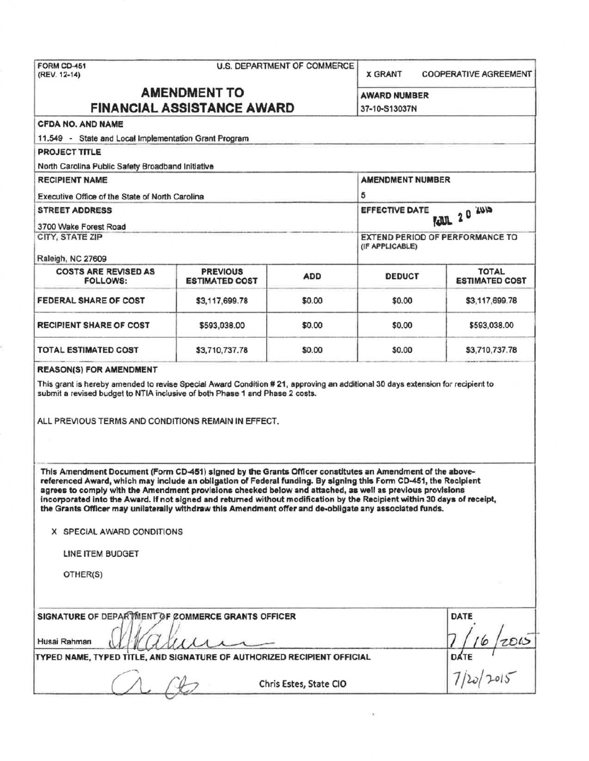| FORM CD-451<br><b>U.S. DEPARTMENT OF COMMERCE</b><br>(REV. 12-14)                                                                                                                                                                                                                                                                                                                                                                                                                                                                                                                 |                       |                        | <b>X GRANT</b>                                     |                                                    | <b>COOPERATIVE AGREEMENT</b> |  |  |
|-----------------------------------------------------------------------------------------------------------------------------------------------------------------------------------------------------------------------------------------------------------------------------------------------------------------------------------------------------------------------------------------------------------------------------------------------------------------------------------------------------------------------------------------------------------------------------------|-----------------------|------------------------|----------------------------------------------------|----------------------------------------------------|------------------------------|--|--|
| <b>AMENDMENT TO</b><br><b>FINANCIAL ASSISTANCE AWARD</b>                                                                                                                                                                                                                                                                                                                                                                                                                                                                                                                          |                       |                        |                                                    | <b>AWARD NUMBER</b><br>37-10-S13037N               |                              |  |  |
| <b>CFDA NO. AND NAME</b>                                                                                                                                                                                                                                                                                                                                                                                                                                                                                                                                                          |                       |                        |                                                    |                                                    |                              |  |  |
| 11.549 - State and Local Implementation Grant Program                                                                                                                                                                                                                                                                                                                                                                                                                                                                                                                             |                       |                        |                                                    |                                                    |                              |  |  |
| <b>PROJECT TITLE</b>                                                                                                                                                                                                                                                                                                                                                                                                                                                                                                                                                              |                       |                        |                                                    |                                                    |                              |  |  |
| North Carolina Public Safety Broadband Initiative                                                                                                                                                                                                                                                                                                                                                                                                                                                                                                                                 |                       |                        |                                                    |                                                    |                              |  |  |
| <b>RECIPIENT NAME</b>                                                                                                                                                                                                                                                                                                                                                                                                                                                                                                                                                             |                       |                        |                                                    | <b>AMENDMENT NUMBER</b>                            |                              |  |  |
| Executive Office of the State of North Carolina                                                                                                                                                                                                                                                                                                                                                                                                                                                                                                                                   |                       |                        | 5                                                  |                                                    |                              |  |  |
| <b>STREET ADDRESS</b>                                                                                                                                                                                                                                                                                                                                                                                                                                                                                                                                                             |                       |                        | $20^{2015}$<br><b>EFFECTIVE DATE</b><br><b>ALL</b> |                                                    |                              |  |  |
| 3700 Wake Forest Road                                                                                                                                                                                                                                                                                                                                                                                                                                                                                                                                                             |                       |                        |                                                    |                                                    |                              |  |  |
| CITY, STATE ZIP                                                                                                                                                                                                                                                                                                                                                                                                                                                                                                                                                                   |                       |                        |                                                    | EXTEND PERIOD OF PERFORMANCE TO<br>(IF APPLICABLE) |                              |  |  |
| Raleigh, NC 27609<br><b>COSTS ARE REVISED AS</b>                                                                                                                                                                                                                                                                                                                                                                                                                                                                                                                                  | <b>PREVIOUS</b>       |                        |                                                    |                                                    | <b>TOTAL</b>                 |  |  |
| <b>FOLLOWS:</b>                                                                                                                                                                                                                                                                                                                                                                                                                                                                                                                                                                   | <b>ESTIMATED COST</b> | <b>ADD</b>             | <b>DEDUCT</b>                                      |                                                    | <b>ESTIMATED COST</b>        |  |  |
| <b>FEDERAL SHARE OF COST</b>                                                                                                                                                                                                                                                                                                                                                                                                                                                                                                                                                      | \$3,117,699.78        | \$0.00                 | \$0.00                                             |                                                    | \$3,117,699.78               |  |  |
| <b>RECIPIENT SHARE OF COST</b>                                                                                                                                                                                                                                                                                                                                                                                                                                                                                                                                                    | \$593,038.00          | \$0.00                 | \$0.00                                             |                                                    | \$593,038.00                 |  |  |
| TOTAL ESTIMATED COST                                                                                                                                                                                                                                                                                                                                                                                                                                                                                                                                                              | \$3,710,737.78        | \$0.00                 | \$0.00                                             |                                                    | \$3,710,737.78               |  |  |
| ALL PREVIOUS TERMS AND CONDITIONS REMAIN IN EFFECT.                                                                                                                                                                                                                                                                                                                                                                                                                                                                                                                               |                       |                        |                                                    |                                                    |                              |  |  |
| This Amendment Document (Form CD-451) signed by the Grants Officer constitutes an Amendment of the above-<br>referenced Award, which may include an obligation of Federal funding. By signing this Form CD-451, the Recipient<br>agrees to comply with the Amendment provisions checked below and attached, as well as previous provisions<br>incorporated into the Award. If not signed and returned without modification by the Recipient within 30 days of receipt,<br>the Grants Officer may unilaterally withdraw this Amendment offer and de-obligate any associated funds. |                       |                        |                                                    |                                                    |                              |  |  |
| X SPECIAL AWARD CONDITIONS                                                                                                                                                                                                                                                                                                                                                                                                                                                                                                                                                        |                       |                        |                                                    |                                                    |                              |  |  |
| LINE ITEM BUDGET                                                                                                                                                                                                                                                                                                                                                                                                                                                                                                                                                                  |                       |                        |                                                    |                                                    |                              |  |  |
| OTHER(S)                                                                                                                                                                                                                                                                                                                                                                                                                                                                                                                                                                          |                       |                        |                                                    |                                                    |                              |  |  |
| SIGNATURE OF DEPARTMENT OF COMMERCE GRANTS OFFICER<br>Husai Rahman                                                                                                                                                                                                                                                                                                                                                                                                                                                                                                                |                       |                        |                                                    |                                                    | <b>DATE</b>                  |  |  |
| TYPED NAME, TYPED TITLE, AND SIGNATURE OF AUTHORIZED RECIPIENT OFFICIAL                                                                                                                                                                                                                                                                                                                                                                                                                                                                                                           |                       | <b>DATE</b> $1/2015$   |                                                    |                                                    |                              |  |  |
|                                                                                                                                                                                                                                                                                                                                                                                                                                                                                                                                                                                   |                       | Chris Estes, State CIO |                                                    |                                                    |                              |  |  |